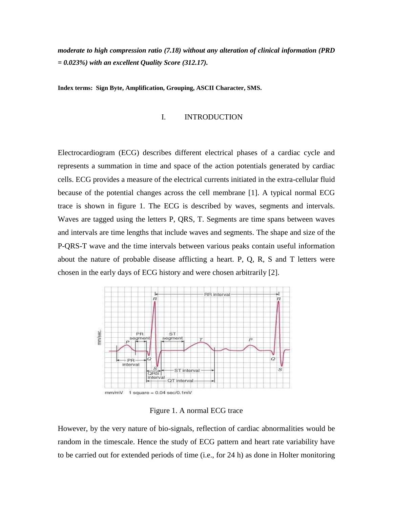*moderate to high compression ratio (7.18) without any alteration of clinical information (PRD = 0.023%) with an excellent Quality Score (312.17).*

**Index terms: Sign Byte, Amplification, Grouping, ASCII Character, SMS.**

## I. INTRODUCTION

Electrocardiogram (ECG) describes different electrical phases of a cardiac cycle and represents a summation in time and space of the action potentials generated by cardiac cells. ECG provides a measure of the electrical currents initiated in the extra-cellular fluid because of the potential changes across the cell membrane [1]. A typical normal ECG trace is shown in figure 1. The ECG is described by waves, segments and intervals. Waves are tagged using the letters P, QRS, T. Segments are time spans between waves and intervals are time lengths that include waves and segments. The shape and size of the P-QRS-T wave and the time intervals between various peaks contain useful information about the nature of probable disease afflicting a heart. P, Q, R, S and T letters were chosen in the early days of ECG history and were chosen arbitrarily [2].



Figure 1. A normal ECG trace

However, by the very nature of bio-signals, reflection of cardiac abnormalities would be random in the timescale. Hence the study of ECG pattern and heart rate variability have to be carried out for extended periods of time (i.e., for 24 h) as done in Holter monitoring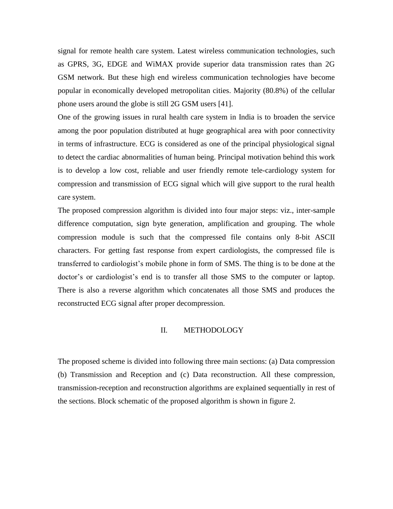signal for remote health care system. Latest wireless communication technologies, such as GPRS, 3G, EDGE and WiMAX provide superior data transmission rates than 2G GSM network. But these high end wireless communication technologies have become popular in economically developed metropolitan cities. Majority (80.8%) of the cellular phone users around the globe is still 2G GSM users [41].

One of the growing issues in rural health care system in India is to broaden the service among the poor population distributed at huge geographical area with poor connectivity in terms of infrastructure. ECG is considered as one of the principal physiological signal to detect the cardiac abnormalities of human being. Principal motivation behind this work is to develop a low cost, reliable and user friendly remote tele-cardiology system for compression and transmission of ECG signal which will give support to the rural health care system.

The proposed compression algorithm is divided into four major steps: viz., inter-sample difference computation, sign byte generation, amplification and grouping. The whole compression module is such that the compressed file contains only 8-bit ASCII characters. For getting fast response from expert cardiologists, the compressed file is transferred to cardiologist's mobile phone in form of SMS. The thing is to be done at the doctor's or cardiologist's end is to transfer all those SMS to the computer or laptop. There is also a reverse algorithm which concatenates all those SMS and produces the reconstructed ECG signal after proper decompression.

## II. METHODOLOGY

The proposed scheme is divided into following three main sections: (a) Data compression (b) Transmission and Reception and (c) Data reconstruction. All these compression, transmission-reception and reconstruction algorithms are explained sequentially in rest of the sections. Block schematic of the proposed algorithm is shown in figure 2.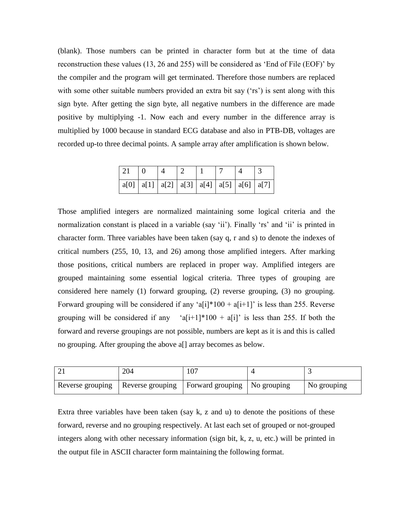(blank). Those numbers can be printed in character form but at the time of data reconstruction these values (13, 26 and 255) will be considered as 'End of File (EOF)' by the compiler and the program will get terminated. Therefore those numbers are replaced with some other suitable numbers provided an extra bit say ('rs') is sent along with this sign byte. After getting the sign byte, all negative numbers in the difference are made positive by multiplying -1. Now each and every number in the difference array is multiplied by 1000 because in standard ECG database and also in PTB-DB, voltages are recorded up-to three decimal points. A sample array after amplification is shown below.

| 21 |                                                       |  |  |  |
|----|-------------------------------------------------------|--|--|--|
|    | a[0]   a[1]   a[2]   a[3]   a[4]   a[5]   a[6]   a[7] |  |  |  |

Those amplified integers are normalized maintaining some logical criteria and the normalization constant is placed in a variable (say 'ii'). Finally 'rs' and 'ii' is printed in character form. Three variables have been taken (say q, r and s) to denote the indexes of critical numbers (255, 10, 13, and 26) among those amplified integers. After marking those positions, critical numbers are replaced in proper way. Amplified integers are grouped maintaining some essential logical criteria. Three types of grouping are considered here namely (1) forward grouping, (2) reverse grouping, (3) no grouping. Forward grouping will be considered if any 'a[i]\*100 + a[i+1]' is less than 255. Reverse grouping will be considered if any 'a[i+1]\*100 + a[i]' is less than 255. If both the forward and reverse groupings are not possible, numbers are kept as it is and this is called no grouping. After grouping the above a[] array becomes as below.

| 204                                                                  | 107 |             |
|----------------------------------------------------------------------|-----|-------------|
| Reverse grouping   Reverse grouping   Forward grouping   No grouping |     | No grouping |

Extra three variables have been taken (say k, z and u) to denote the positions of these forward, reverse and no grouping respectively. At last each set of grouped or not-grouped integers along with other necessary information (sign bit, k, z, u, etc.) will be printed in the output file in ASCII character form maintaining the following format.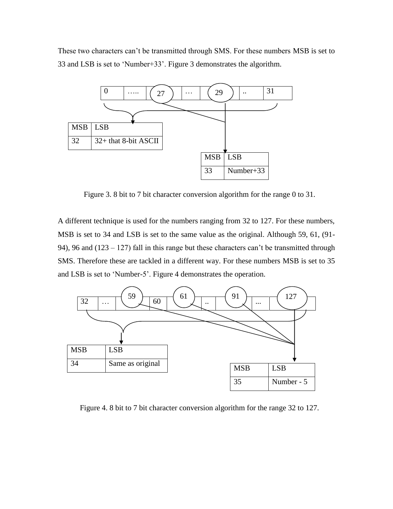These two characters can't be transmitted through SMS. For these numbers MSB is set to 33 and LSB is set to 'Number+33'. Figure 3 demonstrates the algorithm.



Figure 3. 8 bit to 7 bit character conversion algorithm for the range 0 to 31.

A different technique is used for the numbers ranging from 32 to 127. For these numbers, MSB is set to 34 and LSB is set to the same value as the original. Although 59, 61, (91- 94), 96 and (123 – 127) fall in this range but these characters can't be transmitted through SMS. Therefore these are tackled in a different way. For these numbers MSB is set to 35 and LSB is set to 'Number-5'. Figure 4 demonstrates the operation.



Figure 4. 8 bit to 7 bit character conversion algorithm for the range 32 to 127.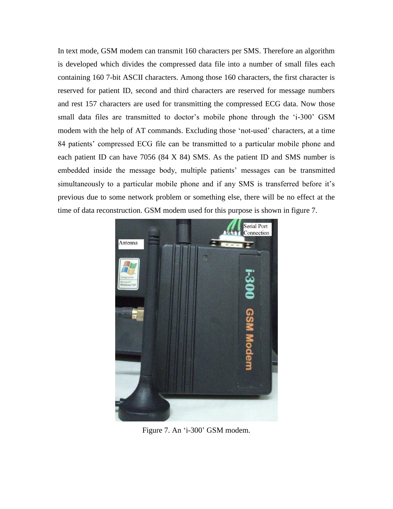In text mode, GSM modem can transmit 160 characters per SMS. Therefore an algorithm is developed which divides the compressed data file into a number of small files each containing 160 7-bit ASCII characters. Among those 160 characters, the first character is reserved for patient ID, second and third characters are reserved for message numbers and rest 157 characters are used for transmitting the compressed ECG data. Now those small data files are transmitted to doctor's mobile phone through the 'i-300' GSM modem with the help of AT commands. Excluding those 'not-used' characters, at a time 84 patients' compressed ECG file can be transmitted to a particular mobile phone and each patient ID can have 7056 (84 X 84) SMS. As the patient ID and SMS number is embedded inside the message body, multiple patients' messages can be transmitted simultaneously to a particular mobile phone and if any SMS is transferred before it's previous due to some network problem or something else, there will be no effect at the time of data reconstruction. GSM modem used for this purpose is shown in figure 7.



Figure 7. An 'i-300' GSM modem.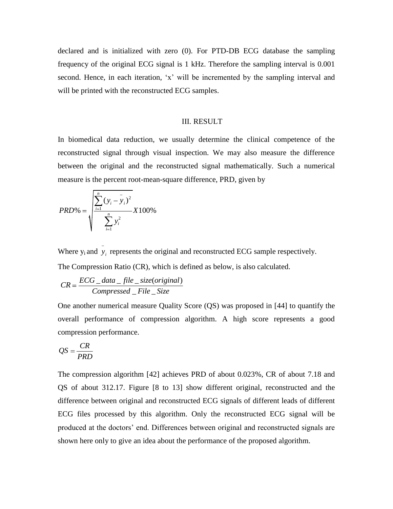declared and is initialized with zero (0). For PTD-DB ECG database the sampling frequency of the original ECG signal is 1 kHz. Therefore the sampling interval is 0.001 second. Hence, in each iteration, 'x' will be incremented by the sampling interval and will be printed with the reconstructed ECG samples.

## III. RESULT

In biomedical data reduction, we usually determine the clinical competence of the reconstructed signal through visual inspection. We may also measure the difference between the original and the reconstructed signal mathematically. Such a numerical measure is the percent root-mean-square difference, PRD, given by

$$
PRD\% = \sqrt{\frac{\sum_{i=1}^{n} (y_i - y_i)^2}{\sum_{i=1}^{n} y_i^2}} X100\%
$$

Where  $y_i$  and  $y_i$  represents the original and reconstructed ECG sample respectively.

The Compression Ratio (CR), which is defined as below, is also calculated.  
\n
$$
CR = \frac{ECG\_data\_file\_size(original)}{Compressed\_File\_Size}
$$

One another numerical measure Quality Score (QS) was proposed in [44] to quantify the overall performance of compression algorithm. A high score represents a good compression performance.

$$
QS = \frac{CR}{PRD}
$$

The compression algorithm [42] achieves PRD of about 0.023%, CR of about 7.18 and QS of about 312.17. Figure [8 to 13] show different original, reconstructed and the difference between original and reconstructed ECG signals of different leads of different ECG files processed by this algorithm. Only the reconstructed ECG signal will be produced at the doctors' end. Differences between original and reconstructed signals are shown here only to give an idea about the performance of the proposed algorithm.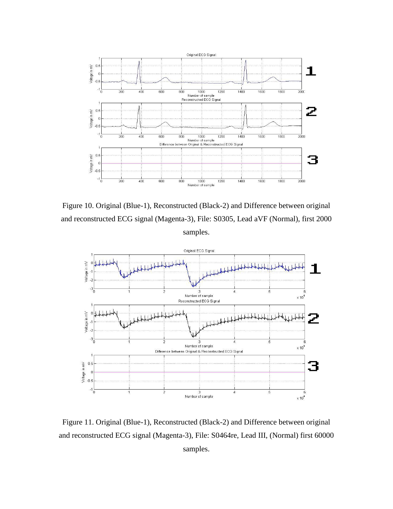

Figure 10. Original (Blue-1), Reconstructed (Black-2) and Difference between original and reconstructed ECG signal (Magenta-3), File: S0305, Lead aVF (Normal), first 2000 samples.



Figure 11. Original (Blue-1), Reconstructed (Black-2) and Difference between original and reconstructed ECG signal (Magenta-3), File: S0464re, Lead III, (Normal) first 60000 samples.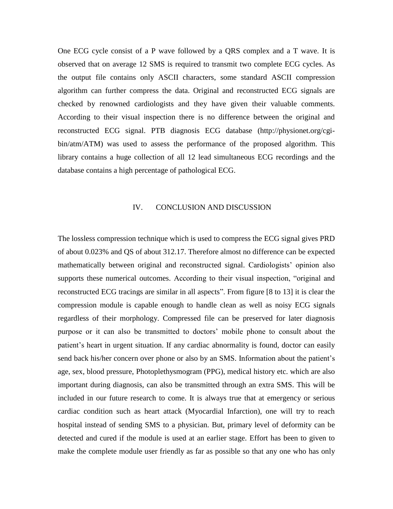One ECG cycle consist of a P wave followed by a QRS complex and a T wave. It is observed that on average 12 SMS is required to transmit two complete ECG cycles. As the output file contains only ASCII characters, some standard ASCII compression algorithm can further compress the data. Original and reconstructed ECG signals are checked by renowned cardiologists and they have given their valuable comments. According to their visual inspection there is no difference between the original and reconstructed ECG signal. PTB diagnosis ECG database (http://physionet.org/cgibin/atm/ATM) was used to assess the performance of the proposed algorithm. This library contains a huge collection of all 12 lead simultaneous ECG recordings and the database contains a high percentage of pathological ECG.

## IV. CONCLUSION AND DISCUSSION

The lossless compression technique which is used to compress the ECG signal gives PRD of about 0.023% and QS of about 312.17. Therefore almost no difference can be expected mathematically between original and reconstructed signal. Cardiologists' opinion also supports these numerical outcomes. According to their visual inspection, "original and reconstructed ECG tracings are similar in all aspects". From figure [8 to 13] it is clear the compression module is capable enough to handle clean as well as noisy ECG signals regardless of their morphology. Compressed file can be preserved for later diagnosis purpose or it can also be transmitted to doctors' mobile phone to consult about the patient's heart in urgent situation. If any cardiac abnormality is found, doctor can easily send back his/her concern over phone or also by an SMS. Information about the patient's age, sex, blood pressure, Photoplethysmogram (PPG), medical history etc. which are also important during diagnosis, can also be transmitted through an extra SMS. This will be included in our future research to come. It is always true that at emergency or serious cardiac condition such as heart attack (Myocardial Infarction), one will try to reach hospital instead of sending SMS to a physician. But, primary level of deformity can be detected and cured if the module is used at an earlier stage. Effort has been to given to make the complete module user friendly as far as possible so that any one who has only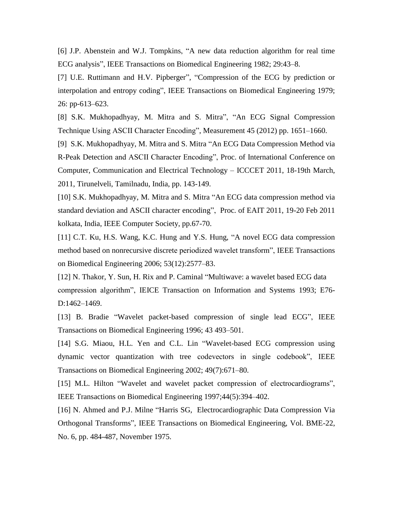[6] J.P. Abenstein and W.J. Tompkins, "A new data reduction algorithm for real time ECG analysis", IEEE Transactions on Biomedical Engineering 1982; 29:43–8.

[7] U.E. Ruttimann and H.V. Pipberger", "Compression of the ECG by prediction or interpolation and entropy coding", IEEE Transactions on Biomedical Engineering 1979; 26: pp-613–623.

[8] S.K. Mukhopadhyay, M. Mitra and S. Mitra", "An ECG Signal Compression Technique Using ASCII Character Encoding", Measurement 45 (2012) pp. 1651–1660.

[9] S.K. Mukhopadhyay, M. Mitra and S. Mitra "An ECG Data Compression Method via R-Peak Detection and ASCII Character Encoding", Proc. of International Conference on Computer, Communication and Electrical Technology – ICCCET 2011, 18-19th March, 2011, Tirunelveli, Tamilnadu, India, pp. 143-149.

[10] S.K. Mukhopadhyay, M. Mitra and S. Mitra "An ECG data compression method via standard deviation and ASCII character encoding", Proc. of EAIT 2011, 19-20 Feb 2011 kolkata, India, IEEE Computer Society, pp.67-70.

[11] C.T. Ku, H.S. Wang, K.C. Hung and Y.S. Hung, "A novel ECG data compression method based on nonrecursive discrete periodized wavelet transform", IEEE Transactions on Biomedical Engineering 2006; 53(12):2577–83.

[12] N. Thakor, Y. Sun, H. Rix and P. Caminal "Multiwave: a wavelet based ECG data compression algorithm", IEICE Transaction on Information and Systems 1993; E76- D:1462–1469.

[13] B. Bradie "Wavelet packet-based compression of single lead ECG", IEEE Transactions on Biomedical Engineering 1996; 43 493–501.

[14] S.G. Miaou, H.L. Yen and C.L. Lin "Wavelet-based ECG compression using dynamic vector quantization with tree codevectors in single codebook", IEEE Transactions on Biomedical Engineering 2002; 49(7):671–80.

[15] M.L. Hilton "Wavelet and wavelet packet compression of electrocardiograms", IEEE Transactions on Biomedical Engineering 1997;44(5):394–402.

[16] N. Ahmed and P.J. Milne "Harris SG, Electrocardiographic Data Compression Via Orthogonal Transforms", IEEE Transactions on Biomedical Engineering, Vol. BME-22, No. 6, pp. 484-487, November 1975.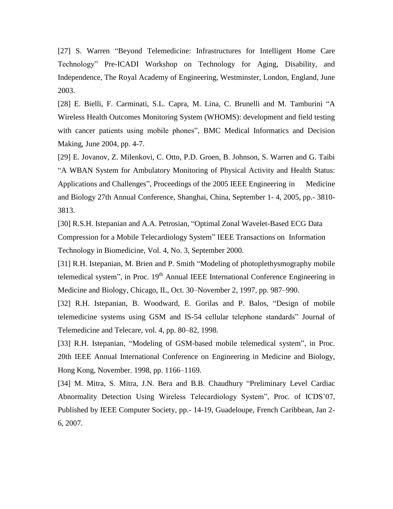[27] S. Warren "Beyond Telemedicine: Infrastructures for Intelligent Home Care Technology" Pre-ICADI Workshop on Technology for Aging, Disability, and Independence, The Royal Academy of Engineering, Westminster, London, England, June 2003.

[28] E. Bielli, F. Carminati, S.L. Capra, M. Lina, C. Brunelli and M. Tamburini "A Wireless Health Outcomes Monitoring System (WHOMS): development and field testing with cancer patients using mobile phones", BMC Medical Informatics and Decision Making, June 2004, pp. 4-7.

[29] E. Jovanov, Z. Milenkovi, C. Otto, P.D. Groen, B. Johnson, S. Warren and G. Taibi "A WBAN System for Ambulatory Monitoring of Physical Activity and Health Status: Applications and Challenges", Proceedings of the 2005 IEEE Engineering in Medicine and Biology 27th Annual Conference, Shanghai, China, September 1- 4, 2005, pp.- 3810- 3813.

[30] R.S.H. Istepanian and A.A. Petrosian, "Optimal Zonal Wavelet-Based ECG Data Compression for a Mobile Telecardiology System" IEEE Transactions on Information Technology in Biomedicine, Vol. 4, No. 3, September 2000.

[31] R.H. Istepanian, M. Brien and P. Smith "Modeling of photoplethysmography mobile telemedical system", in Proc. 19<sup>th</sup> Annual IEEE International Conference Engineering in Medicine and Biology, Chicago, IL, Oct. 30–November 2, 1997, pp. 987–990.

[32] R.H. Istepanian, B. Woodward, E. Gorilas and P. Balos, "Design of mobile telemedicine systems using GSM and IS-54 cellular telephone standards" Journal of Telemedicine and Telecare, vol. 4, pp. 80–82, 1998.

[33] R.H. Istepanian, "Modeling of GSM-based mobile telemedical system", in Proc. 20th IEEE Annual International Conference on Engineering in Medicine and Biology, Hong Kong, November. 1998, pp. 1166–1169.

[34] M. Mitra, S. Mitra, J.N. Bera and B.B. Chaudhury "Preliminary Level Cardiac Abnormality Detection Using Wireless Telecardiology System", Proc. of ICDS'07, Published by IEEE Computer Society, pp.- 14-19, Guadeloupe, French Caribbean, Jan 2- 6, 2007.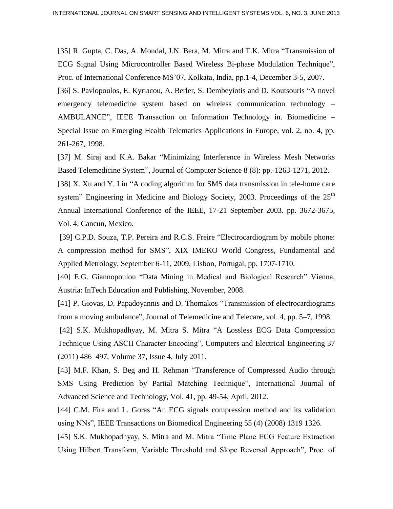[35] R. Gupta, C. Das, A. Mondal, J.N. Bera, M. Mitra and T.K. Mitra "Transmission of ECG Signal Using Microcontroller Based Wireless Bi-phase Modulation Technique", Proc. of International Conference MS'07, Kolkata, India, pp.1-4, December 3-5, 2007. [36] S. Pavlopoulos, E. Kyriacou, A. Berler, S. Dembeyiotis and D. Koutsouris "A novel emergency telemedicine system based on wireless communication technology – AMBULANCE", IEEE Transaction on Information Technology in. Biomedicine – Special Issue on Emerging Health Telematics Applications in Europe, vol. 2, no. 4, pp. 261-267, 1998.

[37] M. Siraj and K.A. Bakar "Minimizing Interference in Wireless Mesh Networks Based Telemedicine System", Journal of Computer Science 8 (8): pp.-1263-1271, 2012.

[38] X. Xu and Y. Liu "A coding algorithm for SMS data transmission in tele-home care system" Engineering in Medicine and Biology Society, 2003. Proceedings of the  $25<sup>th</sup>$ Annual International Conference of the IEEE, 17-21 September 2003. pp. 3672-3675, Vol. 4, Cancun, Mexico.

[39] C.P.D. Souza, T.P. Pereira and R.C.S. Freire "Electrocardiogram by mobile phone: A compression method for SMS", XIX IMEKO World Congress, Fundamental and Applied Metrology, September 6-11, 2009, Lisbon, Portugal, pp. 1707-1710.

[40] E.G. Giannopoulou "Data Mining in Medical and Biological Research" Vienna, Austria: InTech Education and Publishing, November, 2008.

[41] P. Giovas, D. Papadoyannis and D. Thomakos "Transmission of electrocardiograms from a moving ambulance", Journal of Telemedicine and Telecare, vol. 4, pp. 5–7, 1998.

[42] S.K. Mukhopadhyay, M. Mitra S. Mitra "A Lossless ECG Data Compression Technique Using ASCII Character Encoding", Computers and Electrical Engineering 37 (2011) 486–497, Volume 37, Issue 4, July 2011.

[43] M.F. Khan, S. Beg and H. Rehman "Transference of Compressed Audio through SMS Using Prediction by Partial Matching Technique", International Journal of Advanced Science and Technology, Vol. 41, pp. 49-54, April, 2012.

[44] C.M. Fira and L. Goras "An ECG signals compression method and its validation using NNs", IEEE Transactions on Biomedical Engineering 55 (4) (2008) 1319 1326.

[45] S.K. Mukhopadhyay, S. Mitra and M. Mitra "Time Plane ECG Feature Extraction Using Hilbert Transform, Variable Threshold and Slope Reversal Approach", Proc. of